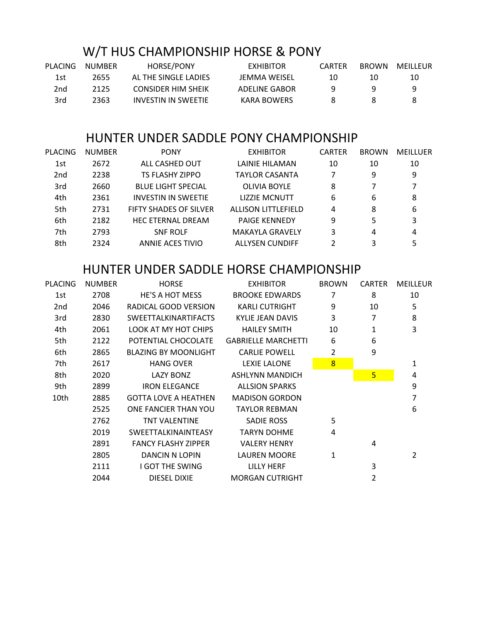## W/T HUS CHAMPIONSHIP HORSE & PONY

| PLACING | NUMBER | <b>HORSE/PONY</b>         | <b>EXHIBITOR</b> | CARTER | <b>BROWN</b> | MEILLEUR |
|---------|--------|---------------------------|------------------|--------|--------------|----------|
| 1st     | 2655   | AL THE SINGLE LADIES      | JEMMA WEISEL     | 10     | 10           | 10       |
| 2nd     | 2125   | <b>CONSIDER HIM SHEIK</b> | ADELINE GABOR    |        |              |          |
| 3rd     | 2363   | INVESTIN IN SWEETIE       | KARA BOWERS      |        |              |          |

## HUNTER UNDER SADDLE PONY CHAMPIONSHIP

| <b>PLACING</b>  | <b>NUMBER</b> | <b>PONY</b>                   | <b>EXHIBITOR</b>           | <b>CARTER</b> | <b>BROWN</b> | <b>MEILLUER</b> |
|-----------------|---------------|-------------------------------|----------------------------|---------------|--------------|-----------------|
| 1st             | 2672          | ALL CASHED OUT                | LAINIE HILAMAN             | 10            | 10           | 10              |
| 2 <sub>nd</sub> | 2238          | TS FLASHY ZIPPO               | TAYLOR CASANTA             | 7             | 9            | 9               |
| 3rd             | 2660          | <b>BLUE LIGHT SPECIAL</b>     | <b>OLIVIA BOYLE</b>        | 8             |              |                 |
| 4th             | 2361          | <b>INVESTIN IN SWEETIE</b>    | <b>LIZZIE MCNUTT</b>       | 6             | 6            | 8               |
| 5th             | 2731          | <b>FIFTY SHADES OF SILVER</b> | <b>ALLISON LITTLEFIELD</b> | 4             | 8            | 6               |
| 6th             | 2182          | <b>HEC ETERNAL DREAM</b>      | <b>PAIGE KENNEDY</b>       | 9             | 5            | 3               |
| 7th             | 2793          | <b>SNF ROLF</b>               | <b>MAKAYLA GRAVELY</b>     | 3             | 4            | 4               |
| 8th             | 2324          | ANNIE ACES TIVIO              | <b>ALLYSEN CUNDIFF</b>     | 2             | 3            | 5               |
|                 |               |                               |                            |               |              |                 |

## HUNTER UNDER SADDLE HORSE CHAMPIONSHIP

| PLACING         | <b>NUMBER</b> | <b>HORSE</b>                | <b>EXHIBITOR</b>           | <b>BROWN</b> | <b>CARTER</b> | <b>MEILLEUR</b> |
|-----------------|---------------|-----------------------------|----------------------------|--------------|---------------|-----------------|
| 1st             | 2708          | HE'S A HOT MESS             | <b>BROOKE EDWARDS</b>      | 7            | 8             | 10              |
| 2 <sub>nd</sub> | 2046          | RADICAL GOOD VERSION        | <b>KARLI CUTRIGHT</b>      | 9            | 10            | 5               |
| 3rd             | 2830          | <b>SWEETTALKINARTIFACTS</b> | KYLIE JEAN DAVIS           | 3            | 7             | 8               |
| 4th             | 2061          | LOOK AT MY HOT CHIPS        | <b>HAILEY SMITH</b>        | 10<br>1      |               | 3               |
| 5th             | 2122          | POTENTIAL CHOCOLATE         | <b>GABRIELLE MARCHETTI</b> | 6            | 6             |                 |
| 6th             | 2865          | <b>BLAZING BY MOONLIGHT</b> | <b>CARLIE POWELL</b>       | 2            | 9             |                 |
| 7th             | 2617          | <b>HANG OVER</b>            | <b>LEXIE LALONE</b>        | 8            |               | 1               |
| 8th             | 2020          | LAZY BONZ                   | <b>ASHLYNN MANDICH</b>     |              | 5             | 4               |
| 9th             | 2899          | <b>IRON ELEGANCE</b>        | <b>ALLSION SPARKS</b>      |              |               | 9               |
| 10th            | 2885          | <b>GOTTA LOVE A HEATHEN</b> | <b>MADISON GORDON</b>      |              |               | 7               |
|                 | 2525          | ONE FANCIER THAN YOU        | <b>TAYLOR REBMAN</b>       |              |               | 6               |
|                 | 2762          | <b>TNT VALENTINE</b>        | <b>SADIE ROSS</b>          | 5            |               |                 |
|                 | 2019          | SWEETTALKINAINTEASY         | <b>TARYN DOHME</b>         | 4            |               |                 |
|                 | 2891          | <b>FANCY FLASHY ZIPPER</b>  | <b>VALERY HENRY</b>        |              | 4             |                 |
|                 | 2805          | DANCIN N LOPIN              | <b>LAUREN MOORE</b>        | $\mathbf{1}$ |               | 2               |
|                 | 2111          | I GOT THE SWING             | LILLY HERF                 |              | 3             |                 |
|                 | 2044          | DIESEL DIXIE                | <b>MORGAN CUTRIGHT</b>     |              | 2             |                 |
|                 |               |                             |                            |              |               |                 |